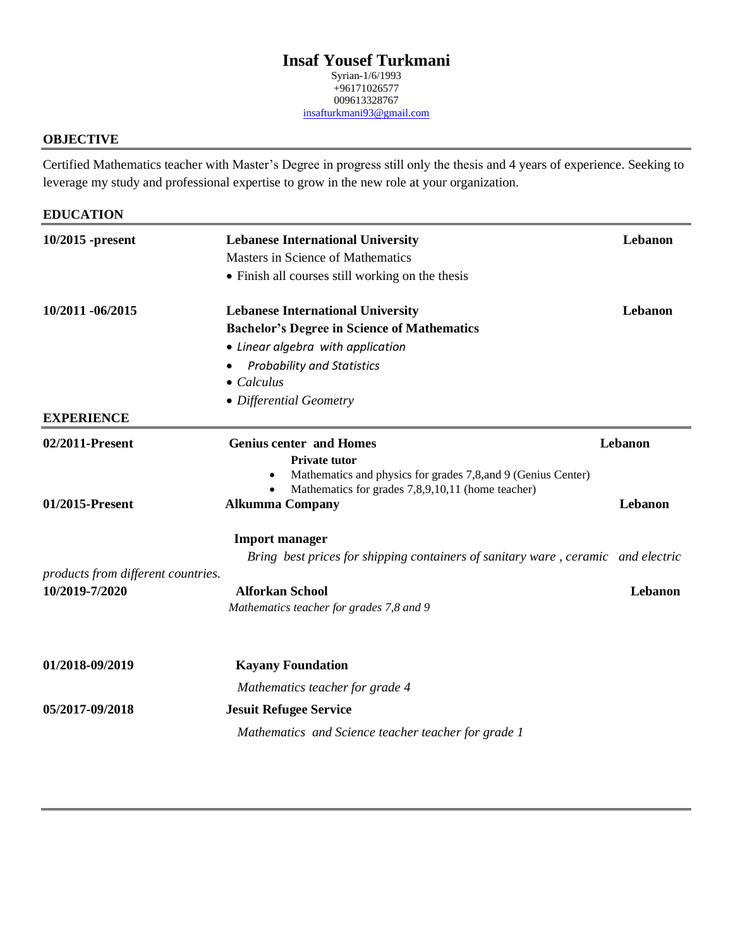# **Insaf Yousef Turkmani**

Syrian-1/6/1993  $+96171026577$ 009613328767 [insafturkmani93@gmail.com](mailto:insafturkmani93@gmail.com)

### **OBJECTIVE**

 Certified Mathematics teacher with Master's Degree in progress still only the thesis and 4 years of experience. Seeking to leverage my study and professional expertise to grow in the new role at your organization.

| <b>EDUCATION</b>                   |                                                                                  |         |
|------------------------------------|----------------------------------------------------------------------------------|---------|
| 10/2015 -present                   | <b>Lebanese International University</b>                                         | Lebanon |
|                                    | Masters in Science of Mathematics                                                |         |
|                                    | • Finish all courses still working on the thesis                                 |         |
| 10/2011 -06/2015                   | <b>Lebanese International University</b>                                         | Lebanon |
|                                    | <b>Bachelor's Degree in Science of Mathematics</b>                               |         |
|                                    | • Linear algebra with application                                                |         |
|                                    | <b>Probability and Statistics</b>                                                |         |
|                                    | $\bullet$ Calculus                                                               |         |
|                                    | • Differential Geometry                                                          |         |
| <b>EXPERIENCE</b>                  |                                                                                  |         |
| 02/2011-Present                    | <b>Genius center and Homes</b>                                                   | Lebanon |
|                                    | Private tutor                                                                    |         |
|                                    | Mathematics and physics for grades 7,8, and 9 (Genius Center)                    |         |
| 01/2015-Present                    | Mathematics for grades 7,8,9,10,11 (home teacher)<br><b>Alkumma Company</b>      | Lebanon |
|                                    |                                                                                  |         |
|                                    | <b>Import manager</b>                                                            |         |
|                                    | Bring best prices for shipping containers of sanitary ware, ceramic and electric |         |
| products from different countries. |                                                                                  |         |
| 10/2019-7/2020                     | <b>Alforkan School</b>                                                           | Lebanon |
|                                    | Mathematics teacher for grades 7,8 and 9                                         |         |
| 01/2018-09/2019                    | <b>Kayany Foundation</b>                                                         |         |
|                                    | Mathematics teacher for grade 4                                                  |         |
|                                    |                                                                                  |         |
| 05/2017-09/2018                    | <b>Jesuit Refugee Service</b>                                                    |         |
|                                    | Mathematics and Science teacher teacher for grade 1                              |         |